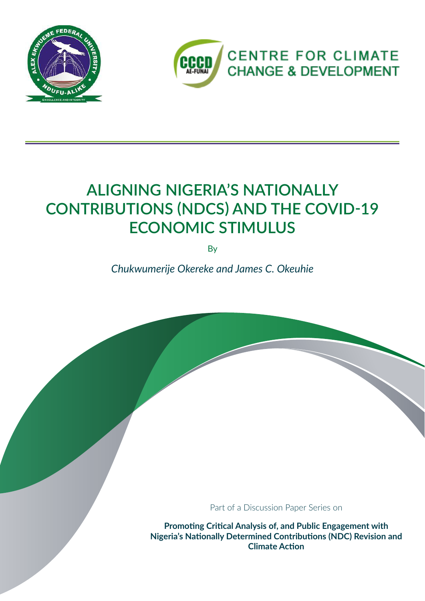



## **ALIGNING NIGERIA'S NATIONALLY CONTRIBUTIONS (NDCS) AND THE COVID-19 ECONOMIC STIMULUS**

By

*Chukwumerije Okereke and James C. Okeuhie*

Part of a Discussion Paper Series on

**Promoting Critical Analysis of, and Public Engagement with Nigeria's Nationally Determined Contributions (NDC) Revision and Climate Action**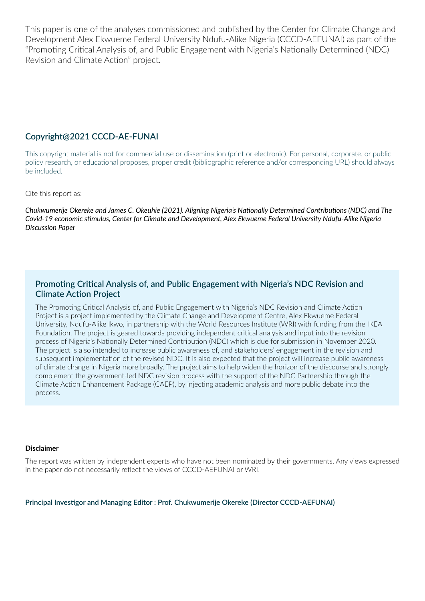This paper is one of the analyses commissioned and published by the Center for Climate Change and Development Alex Ekwueme Federal University Ndufu-Alike Nigeria (CCCD-AEFUNAI) as part of the "Promoting Critical Analysis of, and Public Engagement with Nigeria's Nationally Determined (NDC) Revision and Climate Action" project.

#### **Copyright@2021 CCCD-AE-FUNAI**

This copyright material is not for commercial use or dissemination (print or electronic). For personal, corporate, or public policy research, or educational proposes, proper credit (bibliographic reference and/or corresponding URL) should always be included.

Cite this report as:

*Chukwumerije Okereke and James C. Okeuhie (2021). Aligning Nigeria's Nationally Determined Contributions (NDC) and The Covid-19 economic stimulus, Center for Climate and Development, Alex Ekwueme Federal University Ndufu-Alike Nigeria Discussion Paper*

#### **Promoting Critical Analysis of, and Public Engagement with Nigeria's NDC Revision and Climate Action Project**

The Promoting Critical Analysis of, and Public Engagement with Nigeria's NDC Revision and Climate Action Project is a project implemented by the Climate Change and Development Centre, Alex Ekwueme Federal University, Ndufu-Alike Ikwo, in partnership with the World Resources Institute (WRI) with funding from the IKEA Foundation. The project is geared towards providing independent critical analysis and input into the revision process of Nigeria's Nationally Determined Contribution (NDC) which is due for submission in November 2020. The project is also intended to increase public awareness of, and stakeholders' engagement in the revision and subsequent implementation of the revised NDC. It is also expected that the project will increase public awareness of climate change in Nigeria more broadly. The project aims to help widen the horizon of the discourse and strongly complement the government-led NDC revision process with the support of the NDC Partnership through the Climate Action Enhancement Package (CAEP), by injecting academic analysis and more public debate into the process.

#### **Disclaimer**

The report was written by independent experts who have not been nominated by their governments. Any views expressed in the paper do not necessarily reflect the views of CCCD-AEFUNAI or WRI.

**Principal Investigor and Managing Editor : Prof. Chukwumerije Okereke (Director CCCD-AEFUNAI)**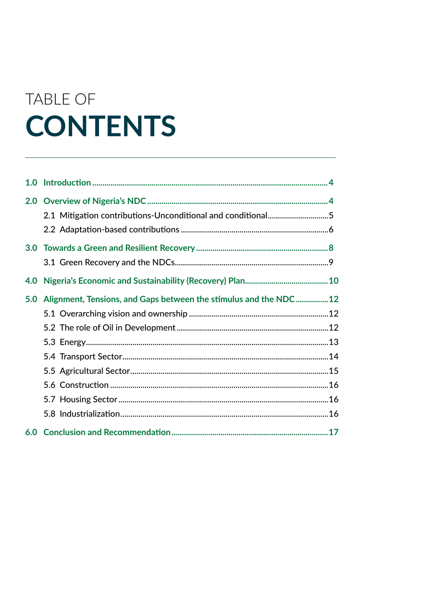# TABLE OF **CONTENTS**

|     | 2.1 Mitigation contributions-Unconditional and conditional5      |  |
|-----|------------------------------------------------------------------|--|
|     |                                                                  |  |
|     |                                                                  |  |
|     |                                                                  |  |
| 4.0 |                                                                  |  |
| 5.0 | Alignment, Tensions, and Gaps between the stimulus and the NDC12 |  |
|     |                                                                  |  |
|     |                                                                  |  |
|     |                                                                  |  |
|     |                                                                  |  |
|     |                                                                  |  |
|     |                                                                  |  |
|     |                                                                  |  |
|     |                                                                  |  |
|     |                                                                  |  |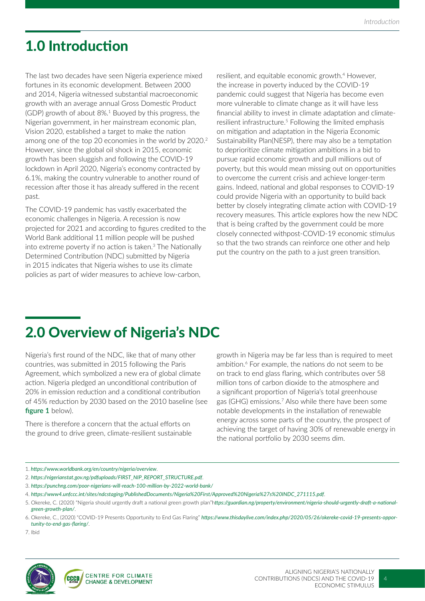## 1.0 Introduction

The last two decades have seen Nigeria experience mixed fortunes in its economic development. Between 2000 and 2014, Nigeria witnessed substantial macroeconomic growth with an average annual Gross Domestic Product (GDP) growth of about 8%.<sup>1</sup> Buoyed by this progress, the Nigerian government, in her mainstream economic plan, Vision 2020, established a target to make the nation among one of the top 20 economies in the world by 2020.<sup>2</sup> However, since the global oil shock in 2015, economic growth has been sluggish and following the COVID-19 lockdown in April 2020, Nigeria's economy contracted by 6.1%, making the country vulnerable to another round of recession after those it has already suffered in the recent past.

The COVID-19 pandemic has vastly exacerbated the economic challenges in Nigeria. A recession is now projected for 2021 and according to figures credited to the World Bank additional 11 million people will be pushed into extreme poverty if no action is taken.<sup>3</sup> The Nationally Determined Contribution (NDC) submitted by Nigeria in 2015 indicates that Nigeria wishes to use its climate policies as part of wider measures to achieve low-carbon,

resilient, and equitable economic growth.<sup>4</sup> However, the increase in poverty induced by the COVID-19 pandemic could suggest that Nigeria has become even more vulnerable to climate change as it will have less financial ability to invest in climate adaptation and climateresilient infrastructure.5 Following the limited emphasis on mitigation and adaptation in the Nigeria Economic Sustainability Plan(NESP), there may also be a temptation to deprioritize climate mitigation ambitions in a bid to pursue rapid economic growth and pull millions out of poverty, but this would mean missing out on opportunities to overcome the current crisis and achieve longer-term gains. Indeed, national and global responses to COVID-19 could provide Nigeria with an opportunity to build back better by closely integrating climate action with COVID-19 recovery measures. This article explores how the new NDC that is being crafted by the government could be more closely connected withpost-COVID-19 economic stimulus so that the two strands can reinforce one other and help put the country on the path to a just green transition.

## 2.0 Overview of Nigeria's NDC

Nigeria's first round of the NDC, like that of many other countries, was submitted in 2015 following the Paris Agreement, which symbolized a new era of global climate action. Nigeria pledged an unconditional contribution of 20% in emission reduction and a conditional contribution of 45% reduction by 2030 based on the 2010 baseline (see **figure 1** below).

There is therefore a concern that the actual efforts on the ground to drive green, climate-resilient sustainable

growth in Nigeria may be far less than is required to meet ambition.<sup>6</sup> For example, the nations do not seem to be on track to end glass flaring, which contributes over 58 million tons of carbon dioxide to the atmosphere and a significant proportion of Nigeria's total greenhouse gas (GHG) emissions.7 Also while there have been some notable developments in the installation of renewable energy across some parts of the country, the prospect of achieving the target of having 30% of renewable energy in the national portfolio by 2030 seems dim.

- 3. *https://punchng.com/poor-nigerians-will-reach-100-million-by-2022-world-bank/*
- 4. *https://www4.unfccc.int/sites/ndcstaging/PublishedDocuments/Nigeria%20First/Approved%20Nigeria%27s%20INDC\_271115.pdf*.

7. Ibid



<sup>1.</sup> *https://www.worldbank.org/en/country/nigeria/overview*.

<sup>2.</sup> *https://nigerianstat.gov.ng/pdfuploads/FIRST\_NIP\_REPORT\_STRUCTURE.pdf*.

<sup>5.</sup> Okereke, C. (2020) "Nigeria should urgently draft a national green growth plan"h*ttps://guardian.ng/property/environment/nigeria-should-urgently-draft-a-nationalgreen-growth-plan/*.

<sup>6.</sup> Okereke, C., (2020) "COVID-19 Presents Opportunity to End Gas Flaring" *https://www.thisdaylive.com/index.php/2020/05/26/okereke-covid-19-presents-opportunity-to-end-gas-flaring/*.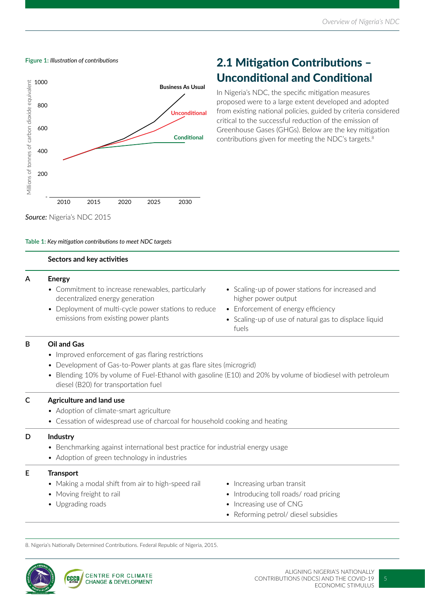



### 2.1 Mitigation Contributions – Unconditional and Conditional

In Nigeria's NDC, the specific mitigation measures proposed were to a large extent developed and adopted from existing national policies, guided by criteria considered critical to the successful reduction of the emission of Greenhouse Gases (GHGs). Below are the key mitigation contributions given for meeting the NDC's targets.<sup>8</sup>

*Source:* Nigeria's NDC 2015

#### **Table 1:** *Key mitigation contributions to meet NDC targets*

#### **Sectors and key activities**

#### **A Energy**

- Commitment to increase renewables, particularly decentralized energy generation
- Deployment of multi-cycle power stations to reduce emissions from existing power plants
- Scaling-up of power stations for increased and higher power output
- Enforcement of energy efficiency
- Scaling-up of use of natural gas to displace liquid fuels

#### **B Oil and Gas**

- Improved enforcement of gas flaring restrictions
- Development of Gas-to-Power plants at gas flare sites (microgrid)
- Blending 10% by volume of Fuel-Ethanol with gasoline (E10) and 20% by volume of biodiesel with petroleum diesel (B20) for transportation fuel

#### **C Agriculture and land use**

- Adoption of climate-smart agriculture
- Cessation of widespread use of charcoal for household cooking and heating

#### **D Industry**

- Benchmarking against international best practice for industrial energy usage
- Adoption of green technology in industries

#### **E Transport**

- Making a modal shift from air to high-speed rail
- Moving freight to rail
- Upgrading roads
- Increasing urban transit
- Introducing toll roads/ road pricing
- Increasing use of CNG
- Reforming petrol/ diesel subsidies

8. Nigeria's Nationally Determined Contributions. Federal Republic of Nigeria, 2015.

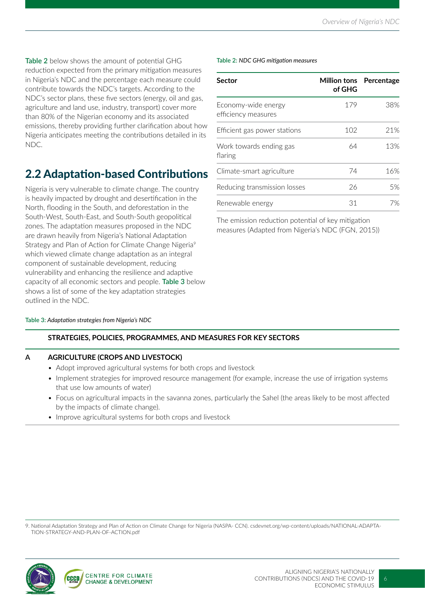**Table 2** below shows the amount of potential GHG reduction expected from the primary mitigation measures in Nigeria's NDC and the percentage each measure could contribute towards the NDC's targets. According to the NDC's sector plans, these five sectors (energy, oil and gas, agriculture and land use, industry, transport) cover more than 80% of the Nigerian economy and its associated emissions, thereby providing further clarification about how Nigeria anticipates meeting the contributions detailed in its NDC.

### 2.2 Adaptation-based Contributions

Nigeria is very vulnerable to climate change. The country is heavily impacted by drought and desertification in the North, flooding in the South, and deforestation in the South-West, South-East, and South-South geopolitical zones. The adaptation measures proposed in the NDC are drawn heavily from Nigeria's National Adaptation Strategy and Plan of Action for Climate Change Nigeria<sup>9</sup> which viewed climate change adaptation as an integral component of sustainable development, reducing vulnerability and enhancing the resilience and adaptive capacity of all economic sectors and people. **Table 3** below shows a list of some of the key adaptation strategies outlined in the NDC.

#### **Table 3:** *Adaptation strategies from Nigeria's NDC*

#### **Table 2:** *NDC GHG mitigation measures*

| <b>Sector</b>                              | <b>Million tons</b> Percentage<br>of GHG |     |
|--------------------------------------------|------------------------------------------|-----|
| Economy-wide energy<br>efficiency measures | 179                                      | 38% |
| Efficient gas power stations               | 102                                      | 21% |
| Work towards ending gas<br>flaring         | 64                                       | 13% |
| Climate-smart agriculture                  | 74                                       | 16% |
| Reducing transmission losses               | 26                                       | 5%  |
| Renewable energy                           | 31                                       | 7%  |

The emission reduction potential of key mitigation measures (Adapted from Nigeria's NDC (FGN, 2015))

#### **STRATEGIES, POLICIES, PROGRAMMES, AND MEASURES FOR KEY SECTORS**

#### **A AGRICULTURE (CROPS AND LIVESTOCK)**

- Adopt improved agricultural systems for both crops and livestock
- Implement strategies for improved resource management (for example, increase the use of irrigation systems that use low amounts of water)
- Focus on agricultural impacts in the savanna zones, particularly the Sahel (the areas likely to be most affected by the impacts of climate change).
- Improve agricultural systems for both crops and livestock

9. National Adaptation Strategy and Plan of Action on Climate Change for Nigeria (NASPA- CCN). csdevnet.org/wp-content/uploads/NATIONAL-ADAPTA-TION-STRATEGY-AND-PLAN-OF-ACTION.pdf

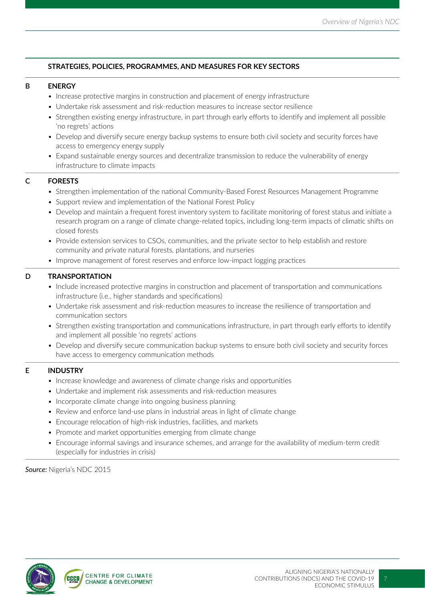#### **STRATEGIES, POLICIES, PROGRAMMES, AND MEASURES FOR KEY SECTORS**

#### **B ENERGY**

- Increase protective margins in construction and placement of energy infrastructure
- Undertake risk assessment and risk-reduction measures to increase sector resilience
- Strengthen existing energy infrastructure, in part through early efforts to identify and implement all possible 'no regrets' actions
- Develop and diversify secure energy backup systems to ensure both civil society and security forces have access to emergency energy supply
- Expand sustainable energy sources and decentralize transmission to reduce the vulnerability of energy infrastructure to climate impacts

#### **C FORESTS**

- Strengthen implementation of the national Community-Based Forest Resources Management Programme
- Support review and implementation of the National Forest Policy
- Develop and maintain a frequent forest inventory system to facilitate monitoring of forest status and initiate a research program on a range of climate change-related topics, including long-term impacts of climatic shifts on closed forests
- Provide extension services to CSOs, communities, and the private sector to help establish and restore community and private natural forests, plantations, and nurseries
- Improve management of forest reserves and enforce low-impact logging practices

#### **D TRANSPORTATION**

- Include increased protective margins in construction and placement of transportation and communications infrastructure (i.e., higher standards and specifications)
- Undertake risk assessment and risk-reduction measures to increase the resilience of transportation and communication sectors
- Strengthen existing transportation and communications infrastructure, in part through early efforts to identify and implement all possible 'no regrets' actions
- Develop and diversify secure communication backup systems to ensure both civil society and security forces have access to emergency communication methods

#### **E INDUSTRY**

- Increase knowledge and awareness of climate change risks and opportunities
- Undertake and implement risk assessments and risk-reduction measures
- Incorporate climate change into ongoing business planning
- Review and enforce land-use plans in industrial areas in light of climate change
- Encourage relocation of high-risk industries, facilities, and markets
- Promote and market opportunities emerging from climate change
- Encourage informal savings and insurance schemes, and arrange for the availability of medium-term credit (especially for industries in crisis)

*Source:* Nigeria's NDC 2015

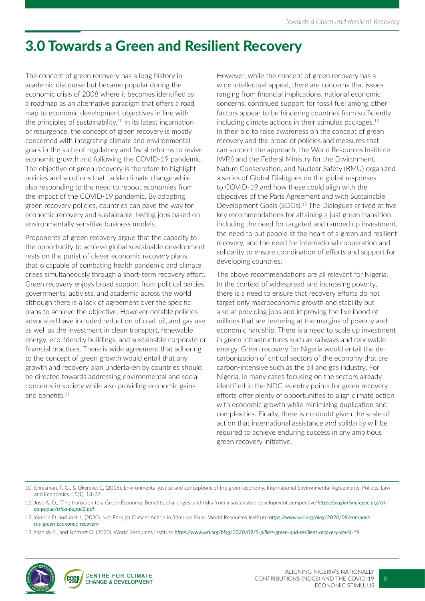## 3.0 Towards a Green and Resilient Recovery

The concept of green recovery has a long history in academic discourse but became popular during the economic crisis of 2008 where it becomes identified as a roadmap as an alternative paradigm that offers a road map to economic development objectives in line with the principles of sustainability.<sup>10</sup> In its latest incarnation or resurgence, the concept of green recovery is mostly concerned with integrating climate and environmental goals in the suite of regulatory and fiscal reforms to revive economic growth and following the COVID-19 pandemic. The objective of green recovery is therefore to highlight policies and solutions that tackle climate change while also responding to the need to reboot economies from the impact of the COVID-19 pandemic. By adopting green recovery policies, countries can pave the way for economic recovery and sustainable, lasting jobs based on environmentally sensitive business models.

Proponents of green recovery argue that the capacity to the opportunity to achieve global sustainable development rests on the purist of clever economic recovery plans that is capable of combating health pandemic and climate crises simultaneously through a short-term recovery effort. Green recovery enjoys broad support from political parties, governments, activists, and academia across the world although there is a lack of agreement over the specific plans to achieve the objective. However notable policies advocated have included reduction of coal, oil, and gas use, as well as the investment in clean transport, renewable energy, eco-friendly buildings, and sustainable corporate or financial practices. There is wide agreement that adhering to the concept of green growth would entail that any growth and recovery plan undertaken by countries should be directed towards addressing environmental and social concerns in society while also providing economic gains and benefits.11

However, while the concept of green recovery has a wide intellectual appeal, there are concerns that issues ranging from financial implications, national economic concerns, continued support for fossil fuel among other factors appear to be hindering countries from sufficiently including climate actions in their stimulus packages.12 In their bid to raise awareness on the concept of green recovery and the broad of policies and measures that can support the approach, the World Resources Institute (WRI) and the Federal Ministry for the Environment, Nature Conservation, and Nuclear Safety (BMU) organized a series of Global Dialogues on the global responses to COVID-19 and how these could align with the objectives of the Paris Agreement and with Sustainable Development Goals (SDGs).<sup>13</sup> The Dialogues arrived at five key recommendations for attaining a just green transition including the need for targeted and ramped up investment, the need to put people at the heart of a green and resilient recovery, and the need for international cooperation and solidarity to ensure coordination of efforts and support for developing countries.

The above recommendations are all relevant for Nigeria. In the context of widespread and increasing poverty, there is a need to ensure that recovery efforts do not target only macroeconomic growth and stability but also at providing jobs and improving the livelihood of millions that are teetering at the margins of poverty and economic hardship. There is a need to scale up investment in green infrastructures such as railways and renewable energy. Green recovery for Nigeria would entail the decarbonization of critical sectors of the economy that are carbon-intensive such as the oil and gas industry. For Nigeria, in many cases focusing on the sectors already identified in the NDC as entry points for green recovery efforts offer plenty of opportunities to align climate action with economic growth while minimizing duplication and complexities. Finally, there is no doubt given the scale of action that international assistance and solidarity will be required to achieve enduring success in any ambitious green recovery initiative.

13. Manish B., and Norbert G. (2020). World Resources Institute *https://www.wri.org/blog/2020/09/5-pillars-green-and-resilient-recovery-covid-19*.



<sup>10.</sup> Ehresman, T. G., & Okereke, C. (2015). Environmental justice and conceptions of the green economy. International Environmental Agreements: Politics, Law and Economics, 15(1), 13-27.

<sup>11.</sup> Jose A. O., "The transition to a Green Economy: Benefits, challenges, and risks from a sustainable development perspective"*https://plagiarism.repec.org/trica-papuc/trica-papuc2.pdf*.

<sup>12.</sup> Yamide D. and Joel J., (2020). Not Enough Climate Action in Stimulus Plans. World Resources Institute *https://www.wri.org/blog/2020/09/coronavirus-green-economic-recovery*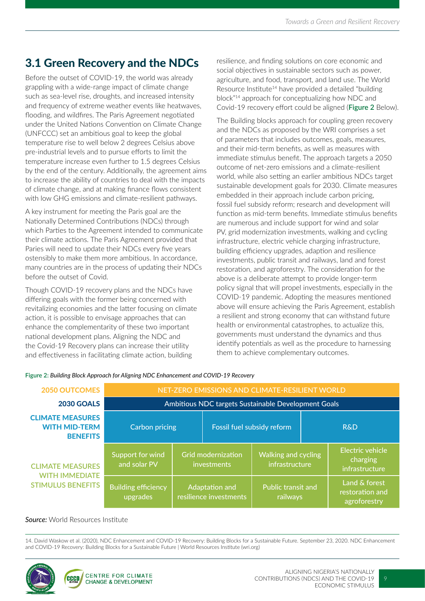### 3.1 Green Recovery and the NDCs

Before the outset of COVID-19, the world was already grappling with a wide-range impact of climate change such as sea-level rise, droughts, and increased intensity and frequency of extreme weather events like heatwaves, flooding, and wildfires. The Paris Agreement negotiated under the United Nations Convention on Climate Change (UNFCCC) set an ambitious goal to keep the global temperature rise to well below 2 degrees Celsius above pre-industrial levels and to pursue efforts to limit the temperature increase even further to 1.5 degrees Celsius by the end of the century. Additionally, the agreement aims to increase the ability of countries to deal with the impacts of climate change, and at making finance flows consistent with low GHG emissions and climate-resilient pathways.

A key instrument for meeting the Paris goal are the Nationally Determined Contributions (NDCs) through which Parties to the Agreement intended to communicate their climate actions. The Paris Agreement provided that Paries will need to update their NDCs every five years ostensibly to make them more ambitious. In accordance, many countries are in the process of updating their NDCs before the outset of Covid.

Though COVID-19 recovery plans and the NDCs have differing goals with the former being concerned with revitalizing economies and the latter focusing on climate action, it is possible to envisage approaches that can enhance the complementarity of these two important national development plans. Aligning the NDC and the Covid-19 Recovery plans can increase their utility and effectiveness in facilitating climate action, building

resilience, and finding solutions on core economic and social objectives in sustainable sectors such as power, agriculture, and food, transport, and land use. The World Resource Institute<sup>14</sup> have provided a detailed "building block"14 approach for conceptualizing how NDC and Covid-19 recovery effort could be aligned (**Figure 2** Below).

The Building blocks approach for coupling green recovery and the NDCs as proposed by the WRI comprises a set of parameters that includes outcomes, goals, measures, and their mid-term benefits, as well as measures with immediate stimulus benefit. The approach targets a 2050 outcome of net-zero emissions and a climate-resilient world, while also setting an earlier ambitious NDCs target sustainable development goals for 2030. Climate measures embedded in their approach include carbon pricing, fossil fuel subsidy reform; research and development will function as mid-term benefits. Immediate stimulus benefits are numerous and include support for wind and solar PV, grid modernization investments, walking and cycling infrastructure, electric vehicle charging infrastructure, building efficiency upgrades, adaption and resilience investments, public transit and railways, land and forest restoration, and agroforestry. The consideration for the above is a deliberate attempt to provide longer-term policy signal that will propel investments, especially in the COVID-19 pandemic. Adopting the measures mentioned above will ensure achieving the Paris Agreement, establish a resilient and strong economy that can withstand future health or environmental catastrophes, to actualize this, governments must understand the dynamics and thus identify potentials as well as the procedure to harnessing them to achieve complementary outcomes.

| <b>2050 OUTCOMES</b>                                               | NET-ZERO EMISSIONS AND CLIMATE-RESILIENT WORLD      |                                          |                                                                                          |                                       |                |                                                       |
|--------------------------------------------------------------------|-----------------------------------------------------|------------------------------------------|------------------------------------------------------------------------------------------|---------------------------------------|----------------|-------------------------------------------------------|
| <b>2030 GOALS</b>                                                  | Ambitious NDC targets Sustainable Development Goals |                                          |                                                                                          |                                       |                |                                                       |
| <b>CLIMATE MEASURES</b><br><b>WITH MID-TERM</b><br><b>BENEFITS</b> | <b>Carbon pricing</b>                               |                                          | Fossil fuel subsidy reform                                                               |                                       | <b>R&amp;D</b> |                                                       |
| <b>CLIMATE MEASURES</b><br><b>WITH IMMEDIATE</b>                   | Support for wind<br>and solar PV                    |                                          | <b>Grid modernization</b><br><b>Walking and cycling</b><br>infrastructure<br>investments |                                       |                | <b>Electric vehicle</b><br>charging<br>infrastructure |
| <b>STIMULUS BENEFITS</b>                                           | <b>Building efficiency</b><br>upgrades              | Adaptation and<br>resilience investments |                                                                                          | <b>Public transit and</b><br>railways |                | Land & forest<br>restoration and<br>agroforestry      |

#### **Figure 2:** *Building Block Approach for Aligning NDC Enhancement and COVID-19 Recovery*

#### *Source:* World Resources Institute

14. David Waskow et al. (2020), NDC Enhancement and COVID-19 Recovery: Building Blocks for a Sustainable Future. September 23, 2020. NDC Enhancement and COVID-19 Recovery: Building Blocks for a Sustainable Future | World Resources Institute (wri.org)

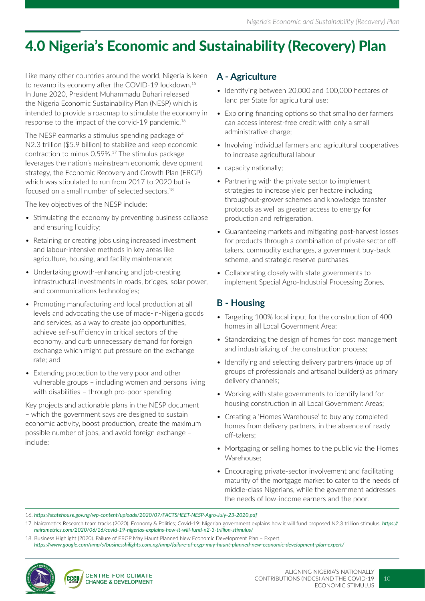## 4.0 Nigeria's Economic and Sustainability (Recovery) Plan

Like many other countries around the world, Nigeria is keen to revamp its economy after the COVID-19 lockdown.<sup>15</sup> In June 2020, President Muhammadu Buhari released the Nigeria Economic Sustainability Plan (NESP) which is intended to provide a roadmap to stimulate the economy in response to the impact of the corvid-19 pandemic.16

The NESP earmarks a stimulus spending package of N2.3 trillion (\$5.9 billion) to stabilize and keep economic contraction to minus 0.59%.17 The stimulus package leverages the nation's mainstream economic development strategy, the Economic Recovery and Growth Plan (ERGP) which was stipulated to run from 2017 to 2020 but is focused on a small number of selected sectors.18

The key objectives of the NESP include:

- Stimulating the economy by preventing business collapse and ensuring liquidity;
- Retaining or creating jobs using increased investment and labour-intensive methods in key areas like agriculture, housing, and facility maintenance;
- Undertaking growth-enhancing and job-creating infrastructural investments in roads, bridges, solar power, and communications technologies;
- Promoting manufacturing and local production at all levels and advocating the use of made-in-Nigeria goods and services, as a way to create job opportunities, achieve self-sufficiency in critical sectors of the economy, and curb unnecessary demand for foreign exchange which might put pressure on the exchange rate; and
- Extending protection to the very poor and other vulnerable groups – including women and persons living with disabilities - through pro-poor spending.

Key projects and actionable plans in the NESP document – which the government says are designed to sustain economic activity, boost production, create the maximum possible number of jobs, and avoid foreign exchange – include:

### **A - Agriculture**

- Identifying between 20,000 and 100,000 hectares of land per State for agricultural use;
- Exploring financing options so that smallholder farmers can access interest-free credit with only a small administrative charge;
- Involving individual farmers and agricultural cooperatives to increase agricultural labour
- capacity nationally;
- Partnering with the private sector to implement strategies to increase yield per hectare including throughout-grower schemes and knowledge transfer protocols as well as greater access to energy for production and refrigeration.
- Guaranteeing markets and mitigating post-harvest losses for products through a combination of private sector offtakers, commodity exchanges, a government buy-back scheme, and strategic reserve purchases.
- Collaborating closely with state governments to implement Special Agro-Industrial Processing Zones.

### **B - Housing**

- Targeting 100% local input for the construction of 400 homes in all Local Government Area;
- Standardizing the design of homes for cost management and industrializing of the construction process;
- Identifying and selecting delivery partners (made up of groups of professionals and artisanal builders) as primary delivery channels;
- Working with state governments to identify land for housing construction in all Local Government Areas;
- Creating a 'Homes Warehouse' to buy any completed homes from delivery partners, in the absence of ready off-takers;
- Mortgaging or selling homes to the public via the Homes Warehouse;
- Encouraging private-sector involvement and facilitating maturity of the mortgage market to cater to the needs of middle-class Nigerians, while the government addresses the needs of low-income earners and the poor.

18. Business Highlight (2020). Failure of ERGP May Haunt Planned New Economic Development Plan – Expert.

*https://www.google.com/amp/s/businesshilights.com.ng/amp/failure-of-ergp-may-haunt-planned-new-economic-development-plan-expert/*



<sup>16.</sup> *https://statehouse.gov.ng/wp-content/uploads/2020/07/FACTSHEET-NESP-Agro-July-23-2020.pdf*

<sup>17.</sup> Nairametics Research team tracks (2020). Economy & Politics; Covid-19: Nigerian government explains how it will fund proposed N2.3 trillion stimulus. *https:// nairametrics.com/2020/06/16/covid-19-nigerias-explains-how-it-will-fund-n2-3-trillion-stimulus/*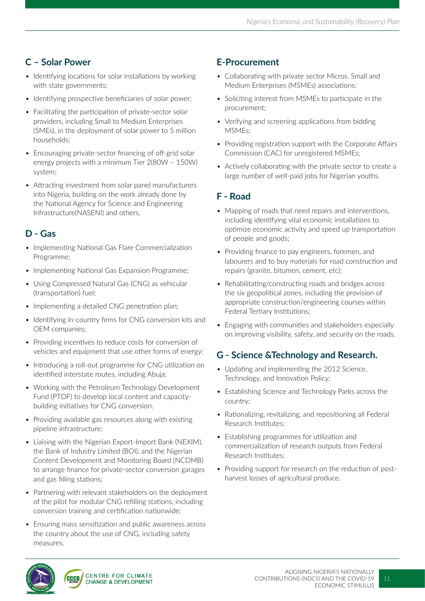### **C – Solar Power**

- Identifying locations for solar installations by working with state governments;
- Identifying prospective beneficiaries of solar power;
- Facilitating the participation of private-sector solar providers, including Small to Medium Enterprises (SMEs), in the deployment of solar power to 5 million households;
- Encouraging private-sector financing of off-grid solar energy projects with a minimum Tier 2(80W – 150W) system;
- Attracting investment from solar panel manufacturers into Nigeria, building on the work already done by the National Agency for Science and Engineering Infrastructure(NASENI) and others.

#### **D - Gas**

- Implementing National Gas Flare Commercialization Programme;
- Implementing National Gas Expansion Programme;
- Using Compressed Natural Gas (CNG) as vehicular (transportation) fuel;
- Implementing a detailed CNG penetration plan;
- Identifying in-country firms for CNG conversion kits and OEM companies;
- Providing incentives to reduce costs for conversion of vehicles and equipment that use other forms of energy;
- Introducing a roll-out programme for CNG utilization on identified interstate routes, including Abuja;
- Working with the Petroleum Technology Development Fund (PTDF) to develop local content and capacitybuilding initiatives for CNG conversion.
- Providing available gas resources along with existing pipeline infrastructure;
- Liaising with the Nigerian Export-Import Bank (NEXIM), the Bank of Industry Limited (BOI), and the Nigerian Content Development and Monitoring Board (NCDMB) to arrange finance for private-sector conversion garages and gas filling stations;
- Partnering with relevant stakeholders on the deployment of the pilot for modular CNG refilling stations, including conversion training and certification nationwide;
- Ensuring mass sensitization and public awareness across the country about the use of CNG, including safety measures.

### **E-Procurement**

- Collaborating with private sector Micros, Small and Medium Enterprises (MSMEs) associations;
- Soliciting interest from MSMEs to participate in the procurement;
- Verifying and screening applications from bidding MSMEs;
- Providing registration support with the Corporate Affairs Commission (CAC) for unregistered MSMEs;
- Actively collaborating with the private sector to create a large number of well-paid jobs for Nigerian youths.

### **F - Road**

- Mapping of roads that need repairs and interventions, including identifying vital economic installations to optimize economic activity and speed up transportation of people and goods;
- Providing finance to pay engineers, foremen, and labourers and to buy materials for road construction and repairs (granite, bitumen, cement, etc);
- Rehabilitating/constructing roads and bridges across the six geopolitical zones, including the provision of appropriate construction/engineering courses within Federal Tertiary Institutions;
- Engaging with communities and stakeholders especially on improving visibility, safety, and security on the roads.

#### **G - Science &Technology and Research.**

- Updating and implementing the 2012 Science, Technology, and Innovation Policy;
- Establishing Science and Technology Parks across the country;
- Rationalizing, revitalizing, and repositioning all Federal Research Institutes;
- Establishing programmes for utilization and commercialization of research outputs from Federal Research Institutes;
- Providing support for research on the reduction of postharvest losses of agricultural produce.

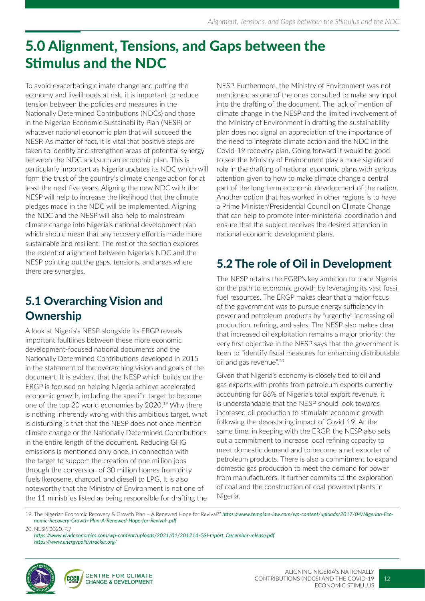## 5.0 Alignment, Tensions, and Gaps between the Stimulus and the NDC

To avoid exacerbating climate change and putting the economy and livelihoods at risk, it is important to reduce tension between the policies and measures in the Nationally Determined Contributions (NDCs) and those in the Nigerian Economic Sustainability Plan (NESP) or whatever national economic plan that will succeed the NESP. As matter of fact, it is vital that positive steps are taken to identify and strengthen areas of potential synergy between the NDC and such an economic plan. This is particularly important as Nigeria updates its NDC which will form the trust of the country's climate change action for at least the next five years. Aligning the new NDC with the NESP will help to increase the likelihood that the climate pledges made in the NDC will be implemented. Aligning the NDC and the NESP will also help to mainstream climate change into Nigeria's national development plan which should mean that any recovery effort is made more sustainable and resilient. The rest of the section explores the extent of alignment between Nigeria's NDC and the NESP pointing out the gaps, tensions, and areas where there are synergies.

### 5.1 Overarching Vision and **Ownership**

A look at Nigeria's NESP alongside its ERGP reveals important faultlines between these more economic development-focused national documents and the Nationally Determined Contributions developed in 2015 in the statement of the overarching vision and goals of the document. It is evident that the NESP which builds on the ERGP is focused on helping Nigeria achieve accelerated economic growth, including the specific target to become one of the top 20 world economies by 2020.<sup>19</sup> Why there is nothing inherently wrong with this ambitious target, what is disturbing is that that the NESP does not once mention climate change or the Nationally Determined Contributions in the entire length of the document. Reducing GHG emissions is mentioned only once, in connection with the target to support the creation of one million jobs through the conversion of 30 million homes from dirty fuels (kerosene, charcoal, and diesel) to LPG. It is also noteworthy that the Ministry of Environment is not one of the 11 ministries listed as being responsible for drafting the

NESP. Furthermore, the Ministry of Environment was not mentioned as one of the ones consulted to make any input into the drafting of the document. The lack of mention of climate change in the NESP and the limited involvement of the Ministry of Environment in drafting the sustainability plan does not signal an appreciation of the importance of the need to integrate climate action and the NDC in the Covid-19 recovery plan. Going forward it would be good to see the Ministry of Environment play a more significant role in the drafting of national economic plans with serious attention given to how to make climate change a central part of the long-term economic development of the nation. Another option that has worked in other regions is to have a Prime Minister/Presidential Council on Climate Change that can help to promote inter-ministerial coordination and ensure that the subject receives the desired attention in national economic development plans.

### 5.2 The role of Oil in Development

The NESP retains the EGRP's key ambition to place Nigeria on the path to economic growth by leveraging its vast fossil fuel resources. The ERGP makes clear that a major focus of the government was to pursue energy sufficiency in power and petroleum products by "urgently" increasing oil production, refining, and sales. The NESP also makes clear that increased oil exploitation remains a major priority: the very first objective in the NESP says that the government is keen to "identify fiscal measures for enhancing distributable oil and gas revenue".<sup>20</sup>

Given that Nigeria's economy is closely tied to oil and gas exports with profits from petroleum exports currently accounting for 86% of Nigeria's total export revenue, it is understandable that the NESP should look towards increased oil production to stimulate economic growth following the devastating impact of Covid-19. At the same time, in keeping with the ERGP, the NESP also sets out a commitment to increase local refining capacity to meet domestic demand and to become a net exporter of petroleum products. There is also a commitment to expand domestic gas production to meet the demand for power from manufacturers. It further commits to the exploration of coal and the construction of coal-powered plants in Nigeria.

19. The Nigerian Economic Recovery & Growth Plan – A Renewed Hope for Revival?" *https://www.templars-law.com/wp-content/uploads/2017/04/Nigerian-Economic-Recovery-Growth-Plan-A-Renewed-Hope-for-Revival-.pdf*

20. NESP, 2020. P.7

*https://www.vivideconomics.com/wp-content/uploads/2021/01/201214-GSI-report\_December-release.pdf https://www.energypolicytracker.org/*

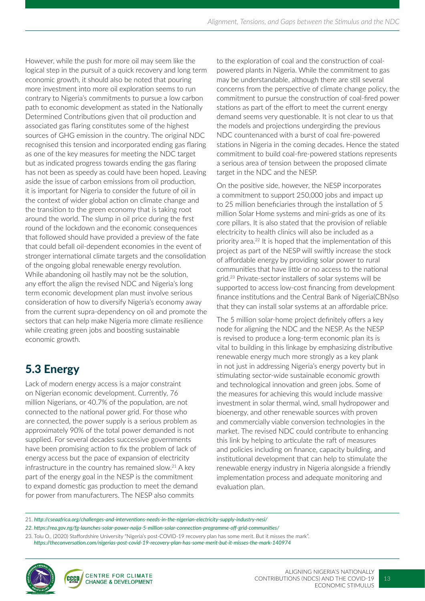However, while the push for more oil may seem like the logical step in the pursuit of a quick recovery and long term economic growth, it should also be noted that pouring more investment into more oil exploration seems to run contrary to Nigeria's commitments to pursue a low carbon path to economic development as stated in the Nationally Determined Contributions given that oil production and associated gas flaring constitutes some of the highest sources of GHG emission in the country. The original NDC recognised this tension and incorporated ending gas flaring as one of the key measures for meeting the NDC target but as indicated progress towards ending the gas flaring has not been as speedy as could have been hoped. Leaving aside the issue of carbon emissions from oil production, it is important for Nigeria to consider the future of oil in the context of wider global action on climate change and the transition to the green economy that is taking root around the world. The slump in oil price during the first round of the lockdown and the economic consequences that followed should have provided a preview of the fate that could befall oil-dependent economies in the event of stronger international climate targets and the consolidation of the ongoing global renewable energy revolution. While abandoning oil hastily may not be the solution, any effort the align the revised NDC and Nigeria's long term economic development plan must involve serious consideration of how to diversify Nigeria's economy away from the current supra-dependency on oil and promote the sectors that can help make Nigeria more climate resilience while creating green jobs and boosting sustainable economic growth.

### 5.3 Energy

Lack of modern energy access is a major constraint on Nigerian economic development. Currently, 76 million Nigerians, or 40.7% of the population, are not connected to the national power grid. For those who are connected, the power supply is a serious problem as approximately 90% of the total power demanded is not supplied. For several decades successive governments have been promising action to fix the problem of lack of energy access but the pace of expansion of electricity infrastructure in the country has remained slow. $21$  A key part of the energy goal in the NESP is the commitment to expand domestic gas production to meet the demand for power from manufacturers. The NESP also commits

to the exploration of coal and the construction of coalpowered plants in Nigeria. While the commitment to gas may be understandable, although there are still several concerns from the perspective of climate change policy, the commitment to pursue the construction of coal-fired power stations as part of the effort to meet the current energy demand seems very questionable. It is not clear to us that the models and projections undergirding the previous NDC countenanced with a burst of coal fire-powered stations in Nigeria in the coming decades. Hence the stated commitment to build coal-fire-powered stations represents a serious area of tension between the proposed climate target in the NDC and the NESP.

On the positive side, however, the NESP incorporates a commitment to support 250,000 jobs and impact up to 25 million beneficiaries through the installation of 5 million Solar Home systems and mini-grids as one of its core pillars. It is also stated that the provision of reliable electricity to health clinics will also be included as a priority area.22 It is hoped that the implementation of this project as part of the NESP will swiftly increase the stock of affordable energy by providing solar power to rural communities that have little or no access to the national grid.23 Private-sector installers of solar systems will be supported to access low-cost financing from development finance institutions and the Central Bank of Nigeria(CBN)so that they can install solar systems at an affordable price.

The 5 million solar-home project definitely offers a key node for aligning the NDC and the NESP. As the NESP is revised to produce a long-term economic plan its is vital to building in this linkage by emphasizing distributive renewable energy much more strongly as a key plank in not just in addressing Nigeria's energy poverty but in stimulating sector-wide sustainable economic growth and technological innovation and green jobs. Some of the measures for achieving this would include massive investment in solar thermal, wind, small hydropower and bioenergy, and other renewable sources with proven and commercially viable conversion technologies in the market. The revised NDC could contribute to enhancing this link by helping to articulate the raft of measures and policies including on finance, capacity building, and institutional development that can help to stimulate the renewable energy industry in Nigeria alongside a friendly implementation process and adequate monitoring and evaluation plan.

21. *http://cseaafrica.org/challenges-and-interventions-needs-in-the-nigerian-electricity-supply-industry-nesi/*

*22. https://rea.gov.ng/fg-launches-solar-power-naija-5-million-solar-connection-programme-off-grid-communities/*

23. Tolu O., (2020) Staffordshire University "Nigeria's post-COVID-19 recovery plan has some merit. But it misses the mark". *https://theconversation.com/nigerias-post-covid-19-recovery-plan-has-some-merit-but-it-misses-the-mark-140974*

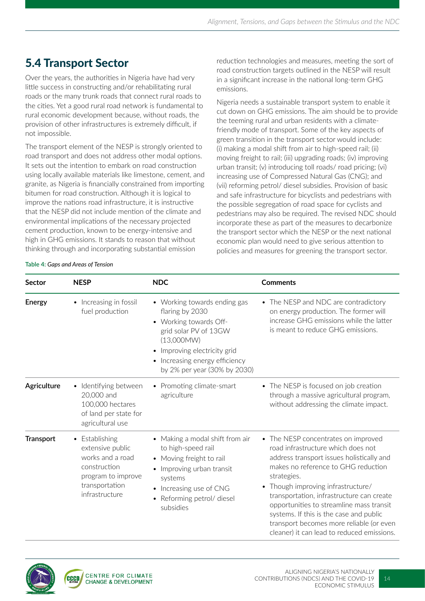### 5.4 Transport Sector

Over the years, the authorities in Nigeria have had very little success in constructing and/or rehabilitating rural roads or the many trunk roads that connect rural roads to the cities. Yet a good rural road network is fundamental to rural economic development because, without roads, the provision of other infrastructures is extremely difficult, if not impossible.

The transport element of the NESP is strongly oriented to road transport and does not address other modal options. It sets out the intention to embark on road construction using locally available materials like limestone, cement, and granite, as Nigeria is financially constrained from importing bitumen for road construction. Although it is logical to improve the nations road infrastructure, it is instructive that the NESP did not include mention of the climate and environmental implications of the necessary projected cement production, known to be energy-intensive and high in GHG emissions. It stands to reason that without thinking through and incorporating substantial emission

reduction technologies and measures, meeting the sort of road construction targets outlined in the NESP will result in a significant increase in the national long-term GHG emissions.

Nigeria needs a sustainable transport system to enable it cut down on GHG emissions. The aim should be to provide the teeming rural and urban residents with a climatefriendly mode of transport. Some of the key aspects of green transition in the transport sector would include: (i) making a modal shift from air to high-speed rail; (ii) moving freight to rail; (iii) upgrading roads; (iv) improving urban transit; (v) introducing toll roads/ road pricing; (vi) increasing use of Compressed Natural Gas (CNG); and (vii) reforming petrol/ diesel subsidies. Provision of basic and safe infrastructure for bicyclists and pedestrians with the possible segregation of road space for cyclists and pedestrians may also be required. The revised NDC should incorporate these as part of the measures to decarbonize the transport sector which the NESP or the next national economic plan would need to give serious attention to policies and measures for greening the transport sector.

| Sector           | <b>NESP</b>                                                                                                                    | <b>NDC</b>                                                                                                                                                                                                      | <b>Comments</b>                                                                                                                                                                                                                                                                                                                                                                                                                                             |
|------------------|--------------------------------------------------------------------------------------------------------------------------------|-----------------------------------------------------------------------------------------------------------------------------------------------------------------------------------------------------------------|-------------------------------------------------------------------------------------------------------------------------------------------------------------------------------------------------------------------------------------------------------------------------------------------------------------------------------------------------------------------------------------------------------------------------------------------------------------|
| <b>Energy</b>    | • Increasing in fossil<br>fuel production                                                                                      | • Working towards ending gas<br>flaring by 2030<br>• Working towards Off-<br>grid solar PV of 13GW<br>(13,000M)<br>Improving electricity grid<br>• Increasing energy efficiency<br>by 2% per year (30% by 2030) | • The NESP and NDC are contradictory<br>on energy production. The former will<br>increase GHG emissions while the latter<br>is meant to reduce GHG emissions.                                                                                                                                                                                                                                                                                               |
| Agriculture      | Identifying between<br>$\bullet$<br>20,000 and<br>100,000 hectares<br>of land per state for<br>agricultural use                | • Promoting climate-smart<br>agriculture                                                                                                                                                                        | • The NESP is focused on job creation<br>through a massive agricultural program,<br>without addressing the climate impact.                                                                                                                                                                                                                                                                                                                                  |
| <b>Transport</b> | Establishing<br>extensive public<br>works and a road<br>construction<br>program to improve<br>transportation<br>infrastructure | • Making a modal shift from air<br>to high-speed rail<br>• Moving freight to rail<br>Improving urban transit<br>systems<br>Increasing use of CNG<br>Reforming petrol/ diesel<br>subsidies                       | • The NESP concentrates on improved<br>road infrastructure which does not<br>address transport issues holistically and<br>makes no reference to GHG reduction<br>strategies.<br>Though improving infrastructure/<br>$\bullet$<br>transportation, infrastructure can create<br>opportunities to streamline mass transit<br>systems. If this is the case and public<br>transport becomes more reliable (or even<br>cleaner) it can lead to reduced emissions. |

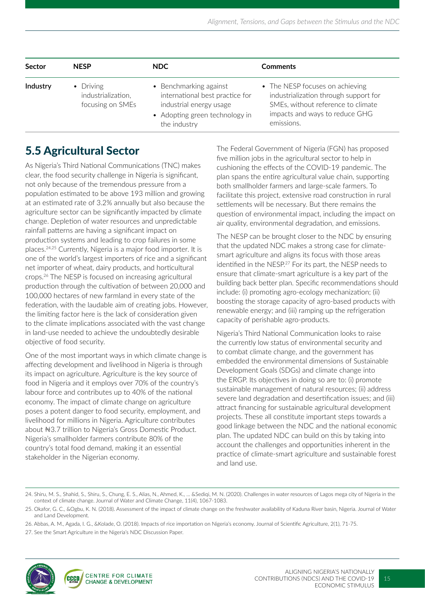| <b>Sector</b> | <b>NESP</b>                                                 | NDC.                                                                                                                                   | <b>Comments</b>                                                                                                                                                |
|---------------|-------------------------------------------------------------|----------------------------------------------------------------------------------------------------------------------------------------|----------------------------------------------------------------------------------------------------------------------------------------------------------------|
| Industry      | $\bullet$ Driving<br>industrialization,<br>focusing on SMEs | • Benchmarking against<br>international best practice for<br>industrial energy usage<br>• Adopting green technology in<br>the industry | • The NESP focuses on achieving<br>industrialization through support for<br>SMEs, without reference to climate<br>impacts and ways to reduce GHG<br>emissions. |

### 5.5 Agricultural Sector

As Nigeria's Third National Communications (TNC) makes clear, the food security challenge in Nigeria is significant, not only because of the tremendous pressure from a population estimated to be above 193 million and growing at an estimated rate of 3.2% annually but also because the agriculture sector can be significantly impacted by climate change. Depletion of water resources and unpredictable rainfall patterns are having a significant impact on production systems and leading to crop failures in some places.24,25 Currently, Nigeria is a major food importer. It is one of the world's largest importers of rice and a significant net importer of wheat, dairy products, and horticultural crops.26 The NESP is focused on increasing agricultural production through the cultivation of between 20,000 and 100,000 hectares of new farmland in every state of the federation, with the laudable aim of creating jobs. However, the limiting factor here is the lack of consideration given to the climate implications associated with the vast change in land-use needed to achieve the undoubtedly desirable objective of food security.

One of the most important ways in which climate change is affecting development and livelihood in Nigeria is through its impact on agriculture. Agriculture is the key source of food in Nigeria and it employs over 70% of the country's labour force and contributes up to 40% of the national economy. The impact of climate change on agriculture poses a potent danger to food security, employment, and livelihood for millions in Nigeria. Agriculture contributes about ₦3.7 trillion to Nigeria's Gross Domestic Product. Nigeria's smallholder farmers contribute 80% of the country's total food demand, making it an essential stakeholder in the Nigerian economy.

The Federal Government of Nigeria (FGN) has proposed five million jobs in the agricultural sector to help in cushioning the effects of the COVID-19 pandemic. The plan spans the entire agricultural value chain, supporting both smallholder farmers and large-scale farmers. To facilitate this project, extensive road construction in rural settlements will be necessary. But there remains the question of environmental impact, including the impact on air quality, environmental degradation, and emissions.

The NESP can be brought closer to the NDC by ensuring that the updated NDC makes a strong case for climatesmart agriculture and aligns its focus with those areas identified in the NESP.<sup>27</sup> For its part, the NESP needs to ensure that climate-smart agriculture is a key part of the building back better plan. Specific recommendations should include: (i) promoting agro-ecology mechanization; (ii) boosting the storage capacity of agro-based products with renewable energy; and (iii) ramping up the refrigeration capacity of perishable agro-products.

Nigeria's Third National Communication looks to raise the currently low status of environmental security and to combat climate change, and the government has embedded the environmental dimensions of Sustainable Development Goals (SDGs) and climate change into the ERGP. Its objectives in doing so are to: (i) promote sustainable management of natural resources; (ii) address severe land degradation and desertification issues; and (iii) attract financing for sustainable agricultural development projects. These all constitute important steps towards a good linkage between the NDC and the national economic plan. The updated NDC can build on this by taking into account the challenges and opportunities inherent in the practice of climate-smart agriculture and sustainable forest and land use.

<sup>27.</sup> See the Smart Agriculture in the Nigeria's NDC Discussion Paper.



<sup>24.</sup> Shiru, M. S., Shahid, S., Shiru, S., Chung, E. S., Alias, N., Ahmed, K., ... &Sediqi, M. N. (2020). Challenges in water resources of Lagos mega city of Nigeria in the context of climate change. Journal of Water and Climate Change, 11(4), 1067-1083.

<sup>25.</sup> Okafor, G. C., &Ogbu, K. N. (2018). Assessment of the impact of climate change on the freshwater availability of Kaduna River basin, Nigeria. Journal of Water and Land Development.

<sup>26.</sup> Abbas, A. M., Agada, I. G., &Kolade, O. (2018). Impacts of rice importation on Nigeria's economy. Journal of Scientific Agriculture, 2(1), 71-75.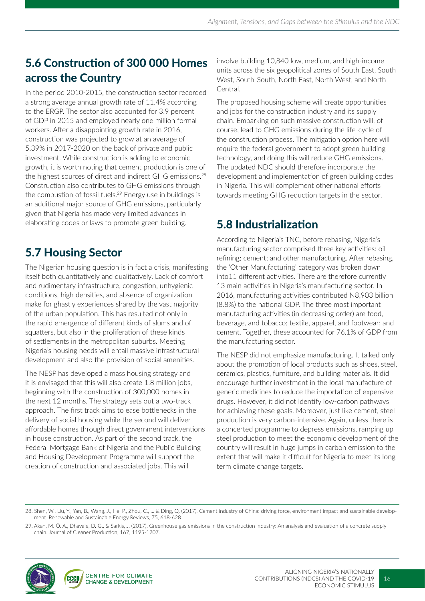### 5.6 Construction of 300 000 Homes across the Country

In the period 2010-2015, the construction sector recorded a strong average annual growth rate of 11.4% according to the ERGP. The sector also accounted for 3.9 percent of GDP in 2015 and employed nearly one million formal workers. After a disappointing growth rate in 2016, construction was projected to grow at an average of 5.39% in 2017-2020 on the back of private and public investment. While construction is adding to economic growth, it is worth noting that cement production is one of the highest sources of direct and indirect GHG emissions.28 Construction also contributes to GHG emissions through the combustion of fossil fuels.<sup>29</sup> Energy use in buildings is an additional major source of GHG emissions, particularly given that Nigeria has made very limited advances in elaborating codes or laws to promote green building.

### 5.7 Housing Sector

The Nigerian housing question is in fact a crisis, manifesting itself both quantitatively and qualitatively. Lack of comfort and rudimentary infrastructure, congestion, unhygienic conditions, high densities, and absence of organization make for ghastly experiences shared by the vast majority of the urban population. This has resulted not only in the rapid emergence of different kinds of slums and of squatters, but also in the proliferation of these kinds of settlements in the metropolitan suburbs. Meeting Nigeria's housing needs will entail massive infrastructural development and also the provision of social amenities.

The NESP has developed a mass housing strategy and it is envisaged that this will also create 1.8 million jobs, beginning with the construction of 300,000 homes in the next 12 months. The strategy sets out a two-track approach. The first track aims to ease bottlenecks in the delivery of social housing while the second will deliver affordable homes through direct government interventions in house construction. As part of the second track, the Federal Mortgage Bank of Nigeria and the Public Building and Housing Development Programme will support the creation of construction and associated jobs. This will

involve building 10,840 low, medium, and high-income units across the six geopolitical zones of South East, South West, South-South, North East, North West, and North Central.

The proposed housing scheme will create opportunities and jobs for the construction industry and its supply chain. Embarking on such massive construction will, of course, lead to GHG emissions during the life-cycle of the construction process. The mitigation option here will require the federal government to adopt green building technology, and doing this will reduce GHG emissions. The updated NDC should therefore incorporate the development and implementation of green building codes in Nigeria. This will complement other national efforts towards meeting GHG reduction targets in the sector.

### 5.8 Industrialization

According to Nigeria's TNC, before rebasing, Nigeria's manufacturing sector comprised three key activities: oil refining; cement; and other manufacturing. After rebasing, the 'Other Manufacturing' category was broken down into11 different activities. There are therefore currently 13 main activities in Nigeria's manufacturing sector. In 2016, manufacturing activities contributed N8,903 billion (8.8%) to the national GDP. The three most important manufacturing activities (in decreasing order) are food, beverage, and tobacco; textile, apparel, and footwear; and cement. Together, these accounted for 76.1% of GDP from the manufacturing sector.

The NESP did not emphasize manufacturing. It talked only about the promotion of local products such as shoes, steel, ceramics, plastics, furniture, and building materials. It did encourage further investment in the local manufacture of generic medicines to reduce the importation of expensive drugs. However, it did not identify low-carbon pathways for achieving these goals. Moreover, just like cement, steel production is very carbon-intensive. Again, unless there is a concerted programme to depress emissions, ramping up steel production to meet the economic development of the country will result in huge jumps in carbon emission to the extent that will make it difficult for Nigeria to meet its longterm climate change targets.

<sup>29.</sup> Akan, M. Ö. A., Dhavale, D. G., & Sarkis, J. (2017). Greenhouse gas emissions in the construction industry: An analysis and evaluation of a concrete supply chain. Journal of Cleaner Production, 167, 1195-1207.



<sup>28.</sup> Shen, W., Liu, Y., Yan, B., Wang, J., He, P., Zhou, C., ... & Ding, Q. (2017). Cement industry of China: driving force, environment impact and sustainable development. Renewable and Sustainable Energy Reviews, 75, 618-628.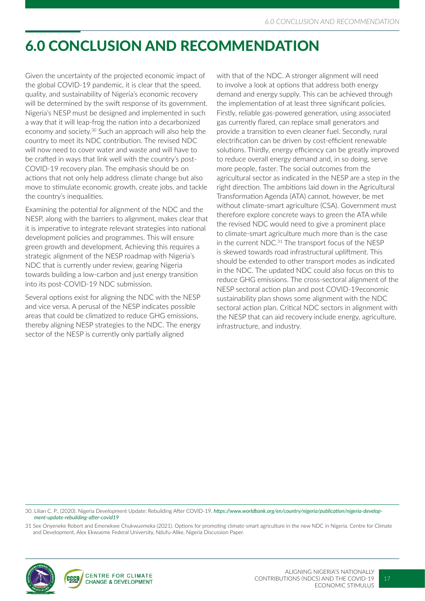## 6.0 CONCLUSION AND RECOMMENDATION

Given the uncertainty of the projected economic impact of the global COVID-19 pandemic, it is clear that the speed, quality, and sustainability of Nigeria's economic recovery will be determined by the swift response of its government. Nigeria's NESP must be designed and implemented in such a way that it will leap-frog the nation into a decarbonized economy and society.30 Such an approach will also help the country to meet its NDC contribution. The revised NDC will now need to cover water and waste and will have to be crafted in ways that link well with the country's post-COVID-19 recovery plan. The emphasis should be on actions that not only help address climate change but also move to stimulate economic growth, create jobs, and tackle the country's inequalities.

Examining the potential for alignment of the NDC and the NESP, along with the barriers to alignment, makes clear that it is imperative to integrate relevant strategies into national development policies and programmes. This will ensure green growth and development. Achieving this requires a strategic alignment of the NESP roadmap with Nigeria's NDC that is currently under review, gearing Nigeria towards building a low-carbon and just energy transition into its post-COVID-19 NDC submission.

Several options exist for aligning the NDC with the NESP and vice versa. A perusal of the NESP indicates possible areas that could be climatized to reduce GHG emissions, thereby aligning NESP strategies to the NDC. The energy sector of the NESP is currently only partially aligned

with that of the NDC. A stronger alignment will need to involve a look at options that address both energy demand and energy supply. This can be achieved through the implementation of at least three significant policies. Firstly, reliable gas-powered generation, using associated gas currently flared, can replace small generators and provide a transition to even cleaner fuel. Secondly, rural electrification can be driven by cost-efficient renewable solutions. Thirdly, energy efficiency can be greatly improved to reduce overall energy demand and, in so doing, serve more people, faster. The social outcomes from the agricultural sector as indicated in the NESP are a step in the right direction. The ambitions laid down in the Agricultural Transformation Agenda (ATA) cannot, however, be met without climate-smart agriculture (CSA). Government must therefore explore concrete ways to green the ATA while the revised NDC would need to give a prominent place to climate-smart agriculture much more than is the case in the current NDC.<sup>31</sup> The transport focus of the NESP is skewed towards road infrastructural upliftment. This should be extended to other transport modes as indicated in the NDC. The updated NDC could also focus on this to reduce GHG emissions. The cross-sectoral alignment of the NESP sectoral action plan and post COVID-19economic sustainability plan shows some alignment with the NDC sectoral action plan. Critical NDC sectors in alignment with the NESP that can aid recovery include energy, agriculture, infrastructure, and industry.

30. Lilian C. P., (2020). Nigeria Development Update: Rebuilding After COVID-19. *https://www.worldbank.org/en/country/nigeria/publication/nigeria-development-update-rebuilding-after-covid19*

31 See Onyeneke Robert and Emenekwe Chukwuemeka (2021). Options for promoting climate-smart agriculture in the new NDC in Nigeria. Centre for Climate and Development, Alex Ekwueme Federal University, Ndufu-Alike, Nigeria Discussion Paper.